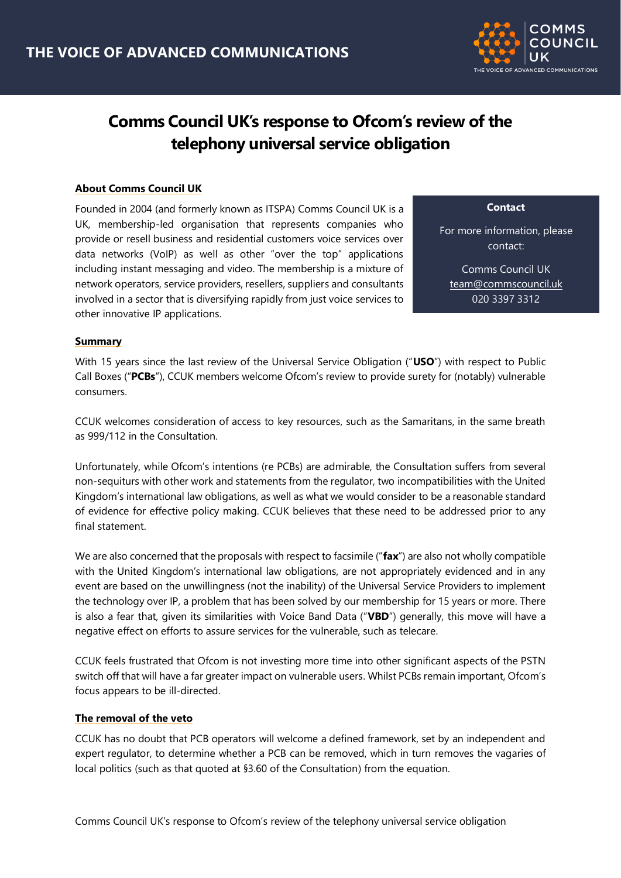

# **Comms Council UK's response to Ofcom's review of the telephony universal service obligation**

# **About Comms Council UK**

Founded in 2004 (and formerly known as ITSPA) Comms Council UK is a UK, membership-led organisation that represents companies who provide or resell business and residential customers voice services over data networks (VoIP) as well as other "over the top" applications including instant messaging and video. The membership is a mixture of network operators, service providers, resellers, suppliers and consultants involved in a sector that is diversifying rapidly from just voice services to other innovative IP applications.

**Contact**

For more information, please contact:

Comms Council UK [team@commscouncil.uk](mailto:team@commscouncil.uk) 020 3397 3312

@commscounciluk

#### **Summary**

With 15 years since the last review of the Universal Service Obligation ("**USO**") with respect to Public Call Boxes ("**PCBs**"), CCUK members welcome Ofcom's review to provide surety for (notably) vulnerable consumers.

CCUK welcomes consideration of access to key resources, such as the Samaritans, in the same breath as 999/112 in the Consultation.

Unfortunately, while Ofcom's intentions (re PCBs) are admirable, the Consultation suffers from several non-sequiturs with other work and statements from the regulator, two incompatibilities with the United Kingdom's international law obligations, as well as what we would consider to be a reasonable standard of evidence for effective policy making. CCUK believes that these need to be addressed prior to any final statement.

We are also concerned that the proposals with respect to facsimile ("**fax**") are also not wholly compatible with the United Kingdom's international law obligations, are not appropriately evidenced and in any event are based on the unwillingness (not the inability) of the Universal Service Providers to implement the technology over IP, a problem that has been solved by our membership for 15 years or more. There is also a fear that, given its similarities with Voice Band Data ("**VBD**") generally, this move will have a negative effect on efforts to assure services for the vulnerable, such as telecare.

CCUK feels frustrated that Ofcom is not investing more time into other significant aspects of the PSTN switch off that will have a far greater impact on vulnerable users. Whilst PCBs remain important, Ofcom's focus appears to be ill-directed.

#### **The removal of the veto**

CCUK has no doubt that PCB operators will welcome a defined framework, set by an independent and expert regulator, to determine whether a PCB can be removed, which in turn removes the vagaries of local politics (such as that quoted at §3.60 of the Consultation) from the equation.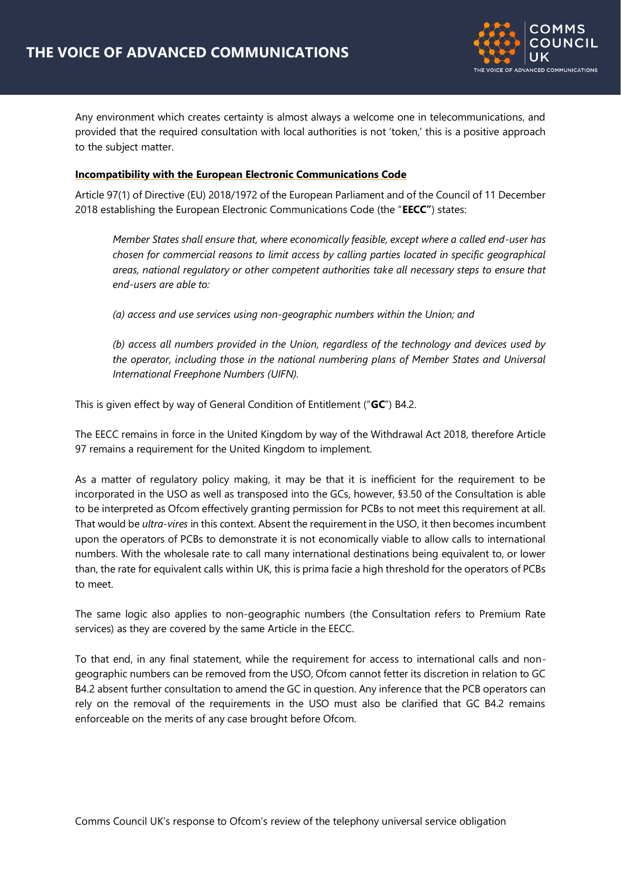

Any environment which creates certainty is almost always a welcome one in telecommunications, and provided that the required consultation with local authorities is not 'token,' this is a positive approach to the subject matter.

#### **Incompatibility with the European Electronic Communications Code**

Article 97(1) of Directive (EU) 2018/1972 of the European Parliament and of the Council of 11 December 2018 establishing the European Electronic Communications Code (the "**EECC"**) states:

*Member States shall ensure that, where economically feasible, except where a called end-user has chosen for commercial reasons to limit access by calling parties located in specific geographical areas, national regulatory or other competent authorities take all necessary steps to ensure that end-users are able to:*

*(a) access and use services using non-geographic numbers within the Union; and*

*(b) access all numbers provided in the Union, regardless of the technology and devices used by the operator, including those in the national numbering plans of Member States and Universal International Freephone Numbers (UIFN).* 

This is given effect by way of General Condition of Entitlement ("**GC**") B4.2.

The EECC remains in force in the United Kingdom by way of the Withdrawal Act 2018, therefore Article 97 remains a requirement for the United Kingdom to implement.

As a matter of regulatory policy making, it may be that it is inefficient for the requirement to be incorporated in the USO as well as transposed into the GCs, however, §3.50 of the Consultation is able to be interpreted as Ofcom effectively granting permission for PCBs to not meet this requirement at all. That would be *ultra-vires* in this context. Absent the requirement in the USO, it then becomes incumbent upon the operators of PCBs to demonstrate it is not economically viable to allow calls to international numbers. With the wholesale rate to call many international destinations being equivalent to, or lower than, the rate for equivalent calls within UK, this is prima facie a high threshold for the operators of PCBs to meet.

The same logic also applies to non-geographic numbers (the Consultation refers to Premium Rate services) as they are covered by the same Article in the EECC.

To that end, in any final statement, while the requirement for access to international calls and nongeographic numbers can be removed from the USO, Ofcom cannot fetter its discretion in relation to GC B4.2 absent further consultation to amend the GC in question. Any inference that the PCB operators can rely on the removal of the requirements in the USO must also be clarified that GC B4.2 remains enforceable on the merits of any case brought before Ofcom.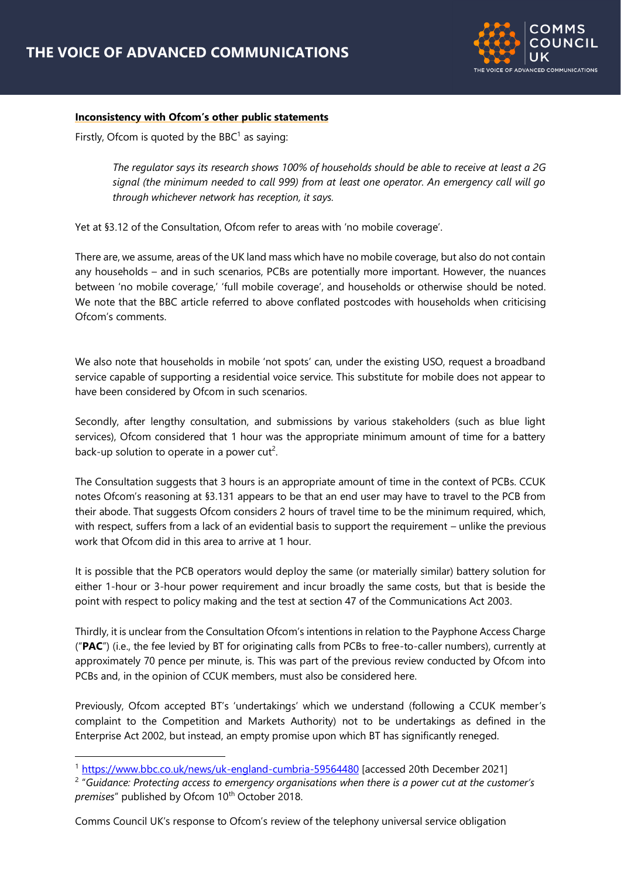

#### **Inconsistency with Ofcom's other public statements**

Firstly, Ofcom is quoted by the BBC $<sup>1</sup>$  as saying:</sup>

*The regulator says its research shows 100% of households should be able to receive at least a 2G signal (the minimum needed to call 999) from at least one operator. An emergency call will go through whichever network has reception, it says.*

Yet at §3.12 of the Consultation, Ofcom refer to areas with 'no mobile coverage'.

There are, we assume, areas of the UK land mass which have no mobile coverage, but also do not contain any households – and in such scenarios, PCBs are potentially more important. However, the nuances between 'no mobile coverage,' 'full mobile coverage', and households or otherwise should be noted. We note that the BBC article referred to above conflated postcodes with households when criticising Ofcom's comments.

We also note that households in mobile 'not spots' can, under the existing USO, request a broadband service capable of supporting a residential voice service. This substitute for mobile does not appear to have been considered by Ofcom in such scenarios.

Secondly, after lengthy consultation, and submissions by various stakeholders (such as blue light services), Ofcom considered that 1 hour was the appropriate minimum amount of time for a battery back-up solution to operate in a power cut<sup>2</sup>.

The Consultation suggests that 3 hours is an appropriate amount of time in the context of PCBs. CCUK notes Ofcom's reasoning at §3.131 appears to be that an end user may have to travel to the PCB from their abode. That suggests Ofcom considers 2 hours of travel time to be the minimum required, which, with respect, suffers from a lack of an evidential basis to support the requirement – unlike the previous work that Ofcom did in this area to arrive at 1 hour.

It is possible that the PCB operators would deploy the same (or materially similar) battery solution for either 1-hour or 3-hour power requirement and incur broadly the same costs, but that is beside the point with respect to policy making and the test at section 47 of the Communications Act 2003.

Thirdly, it is unclear from the Consultation Ofcom's intentions in relation to the Payphone Access Charge ("**PAC**") (i.e., the fee levied by BT for originating calls from PCBs to free-to-caller numbers), currently at approximately 70 pence per minute, is. This was part of the previous review conducted by Ofcom into PCBs and, in the opinion of CCUK members, must also be considered here.

Previously, Ofcom accepted BT's 'undertakings' which we understand (following a CCUK member's complaint to the Competition and Markets Authority) not to be undertakings as defined in the Enterprise Act 2002, but instead, an empty promise upon which BT has significantly reneged.

Comms Council UK's response to Ofcom's review of the telephony universal service obligation

<sup>&</sup>lt;sup>1</sup> <https://www.bbc.co.uk/news/uk-england-cumbria-59564480> [accessed 20th December 2021]

<sup>2</sup> "*Guidance: Protecting access to emergency organisations when there is a power cut at the customer's*  premises" published by Ofcom 10<sup>th</sup> October 2018.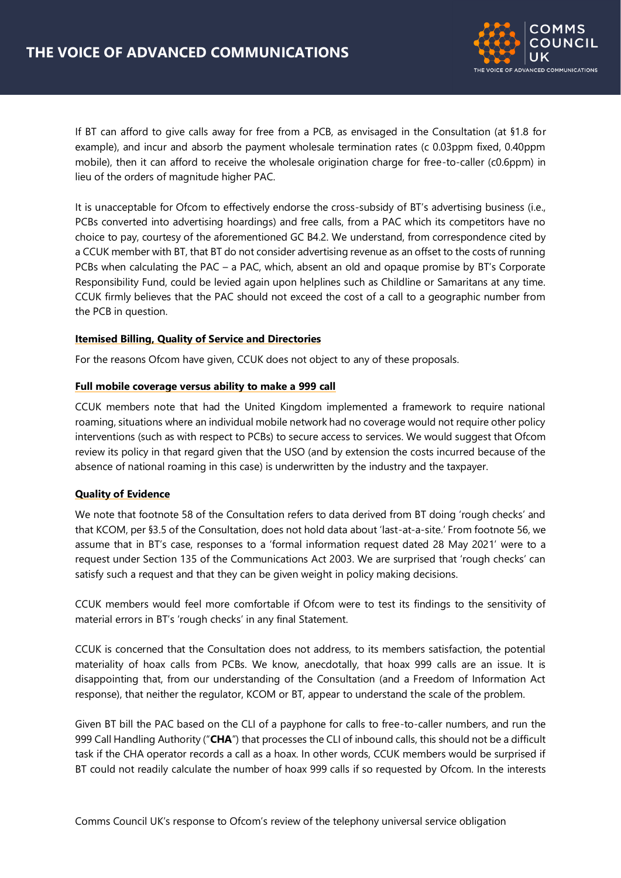

If BT can afford to give calls away for free from a PCB, as envisaged in the Consultation (at §1.8 for example), and incur and absorb the payment wholesale termination rates (c 0.03ppm fixed, 0.40ppm mobile), then it can afford to receive the wholesale origination charge for free-to-caller (c0.6ppm) in lieu of the orders of magnitude higher PAC.

It is unacceptable for Ofcom to effectively endorse the cross-subsidy of BT's advertising business (i.e., PCBs converted into advertising hoardings) and free calls, from a PAC which its competitors have no choice to pay, courtesy of the aforementioned GC B4.2. We understand, from correspondence cited by a CCUK member with BT, that BT do not consider advertising revenue as an offset to the costs of running PCBs when calculating the PAC – a PAC, which, absent an old and opaque promise by BT's Corporate Responsibility Fund, could be levied again upon helplines such as Childline or Samaritans at any time. CCUK firmly believes that the PAC should not exceed the cost of a call to a geographic number from the PCB in question.

## **Itemised Billing, Quality of Service and Directories**

For the reasons Ofcom have given, CCUK does not object to any of these proposals.

## **Full mobile coverage versus ability to make a 999 call**

CCUK members note that had the United Kingdom implemented a framework to require national roaming, situations where an individual mobile network had no coverage would not require other policy interventions (such as with respect to PCBs) to secure access to services. We would suggest that Ofcom review its policy in that regard given that the USO (and by extension the costs incurred because of the absence of national roaming in this case) is underwritten by the industry and the taxpayer.

# **Quality of Evidence**

We note that footnote 58 of the Consultation refers to data derived from BT doing 'rough checks' and that KCOM, per §3.5 of the Consultation, does not hold data about 'last-at-a-site.' From footnote 56, we assume that in BT's case, responses to a 'formal information request dated 28 May 2021' were to a request under Section 135 of the Communications Act 2003. We are surprised that 'rough checks' can satisfy such a request and that they can be given weight in policy making decisions.

CCUK members would feel more comfortable if Ofcom were to test its findings to the sensitivity of material errors in BT's 'rough checks' in any final Statement.

CCUK is concerned that the Consultation does not address, to its members satisfaction, the potential materiality of hoax calls from PCBs. We know, anecdotally, that hoax 999 calls are an issue. It is disappointing that, from our understanding of the Consultation (and a Freedom of Information Act response), that neither the regulator, KCOM or BT, appear to understand the scale of the problem.

Given BT bill the PAC based on the CLI of a payphone for calls to free-to-caller numbers, and run the 999 Call Handling Authority ("**CHA**") that processes the CLI of inbound calls, this should not be a difficult task if the CHA operator records a call as a hoax. In other words, CCUK members would be surprised if BT could not readily calculate the number of hoax 999 calls if so requested by Ofcom. In the interests